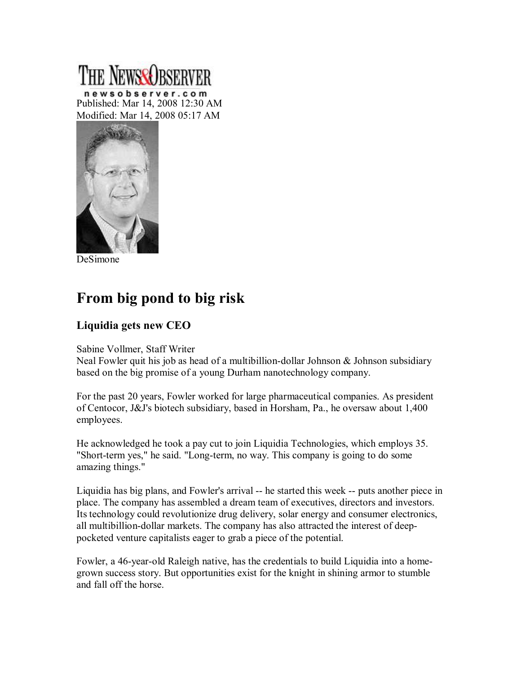## newsobserver.com Published: Mar 14, 2008 12:30 AM Modified: Mar 14, 2008 05:17 AM



DeSimone

## **From big pond to big risk**

## **Liquidia gets new CEO**

## Sabine Vollmer, Staff Writer

Neal Fowler quit his job as head of a multibillion-dollar Johnson  $\&$  Johnson subsidiary based on the big promise of a young Durham nanotechnology company.

For the past 20 years, Fowler worked for large pharmaceutical companies. As president of Centocor, J&J's biotech subsidiary, based in Horsham, Pa., he oversaw about 1,400 employees.

He acknowledged he took a pay cut to join Liquidia Technologies, which employs 35. "Short-term yes," he said. "Long-term, no way. This company is going to do some amazing things."

Liquidia has big plans, and Fowler's arrival -- he started this week -- puts another piece in place. The company has assembled a dream team of executives, directors and investors. Its technology could revolutionize drug delivery, solar energy and consumer electronics, all multibillion-dollar markets. The company has also attracted the interest of deeppocketed venture capitalists eager to grab a piece of the potential.

Fowler, a 46-year-old Raleigh native, has the credentials to build Liquidia into a homegrown success story. But opportunities exist for the knight in shining armor to stumble and fall off the horse.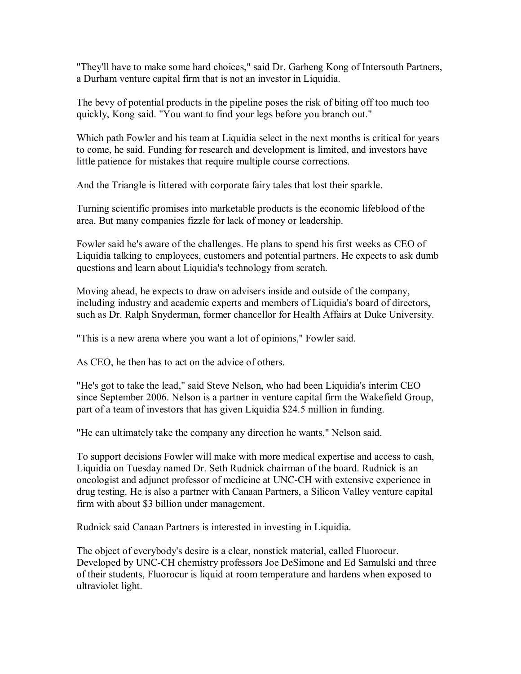"They'll have to make some hard choices," said Dr. Garheng Kong of Intersouth Partners, a Durham venture capital firm that is not an investor in Liquidia.

The bevy of potential products in the pipeline poses the risk of biting off too much too quickly, Kong said. "You want to find your legs before you branch out."

Which path Fowler and his team at Liquidia select in the next months is critical for years to come, he said. Funding for research and development is limited, and investors have little patience for mistakes that require multiple course corrections.

And the Triangle is littered with corporate fairy tales that lost their sparkle.

Turning scientific promises into marketable products is the economic lifeblood of the area. But many companies fizzle for lack of money or leadership.

Fowler said he's aware of the challenges. He plans to spend his first weeks as CEO of Liquidia talking to employees, customers and potential partners. He expects to ask dumb questions and learn about Liquidia's technology from scratch.

Moving ahead, he expects to draw on advisers inside and outside of the company, including industry and academic experts and members of Liquidia's board of directors, such as Dr. Ralph Snyderman, former chancellor for Health Affairs at Duke University.

"This is a new arena where you want a lot of opinions," Fowler said.

As CEO, he then has to act on the advice of others.

"He's got to take the lead," said Steve Nelson, who had been Liquidia's interim CEO since September 2006. Nelson is a partner in venture capital firm the Wakefield Group, part of a team of investors that has given Liquidia \$24.5 million in funding.

"He can ultimately take the company any direction he wants," Nelson said.

To support decisions Fowler will make with more medical expertise and access to cash, Liquidia on Tuesday named Dr. Seth Rudnick chairman of the board. Rudnick is an oncologist and adjunct professor of medicine at UNC-CH with extensive experience in drug testing. He is also a partner with Canaan Partners, a Silicon Valley venture capital firm with about \$3 billion under management.

Rudnick said Canaan Partners is interested in investing in Liquidia.

The object of everybody's desire is a clear, nonstick material, called Fluorocur. Developed by UNC-CH chemistry professors Joe DeSimone and Ed Samulski and three of their students, Fluorocur is liquid at room temperature and hardens when exposed to ultraviolet light.